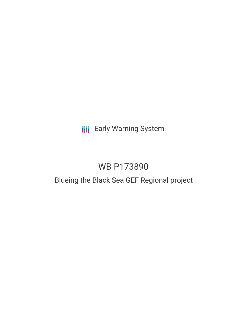## **III** Early Warning System

# WB-P173890

### Blueing the Black Sea GEF Regional project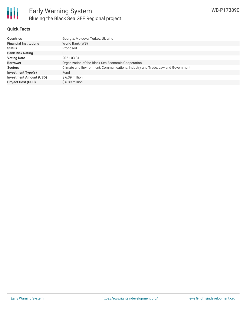

#### **Quick Facts**

| <b>Countries</b>               | Georgia, Moldova, Turkey, Ukraine                                               |
|--------------------------------|---------------------------------------------------------------------------------|
| <b>Financial Institutions</b>  | World Bank (WB)                                                                 |
| <b>Status</b>                  | Proposed                                                                        |
| <b>Bank Risk Rating</b>        | B                                                                               |
| <b>Voting Date</b>             | 2021-03-31                                                                      |
| <b>Borrower</b>                | Organization of the Black Sea Economic Cooperation                              |
| <b>Sectors</b>                 | Climate and Environment, Communications, Industry and Trade, Law and Government |
| <b>Investment Type(s)</b>      | Fund                                                                            |
| <b>Investment Amount (USD)</b> | \$6.39 million                                                                  |
| <b>Project Cost (USD)</b>      | $$6.39$ million                                                                 |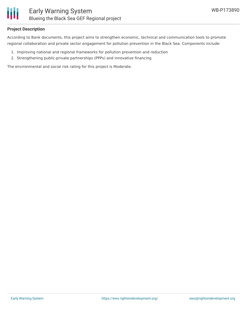

#### **Project Description**

According to Bank documents, this project aims to strengthen economic, technical and communication tools to promote regional collaboration and private sector engagement for pollution prevention in the Black Sea. Components include:

- 1. Improving national and regional frameworks for pollution prevention and reduction
- 2. Strengthening public-private partnerships (PPPs) and innovative financing

The environmental and social risk rating for this project is Moderate.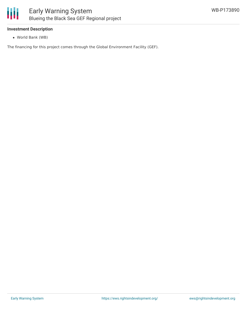

#### **Investment Description**

World Bank (WB)

The financing for this project comes through the Global Environment Facility (GEF).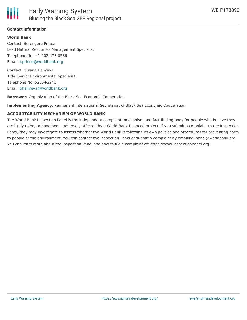

#### **Contact Information**

#### **World Bank**

Contact: Berengere Prince Lead Natural Resources Management Specialist Telephone No: +1-202-473-0536 Email: [bprince@worldbank.org](mailto:bprince@worldbank.org)

Contact: Gulana Hajiyeva Title: Senior Environmental Specialist Telephone No: 5255+2241 Email: [ghajiyeva@worldbank.org](mailto:ghajiyeva@worldbank.org)

**Borrower:** Organization of the Black Sea Economic Cooperation

**Implementing Agency:** Permanent International Secretariat of Black Sea Economic Cooperation

#### **ACCOUNTABILITY MECHANISM OF WORLD BANK**

The World Bank Inspection Panel is the independent complaint mechanism and fact-finding body for people who believe they are likely to be, or have been, adversely affected by a World Bank-financed project. If you submit a complaint to the Inspection Panel, they may investigate to assess whether the World Bank is following its own policies and procedures for preventing harm to people or the environment. You can contact the Inspection Panel or submit a complaint by emailing ipanel@worldbank.org. You can learn more about the Inspection Panel and how to file a complaint at: https://www.inspectionpanel.org.